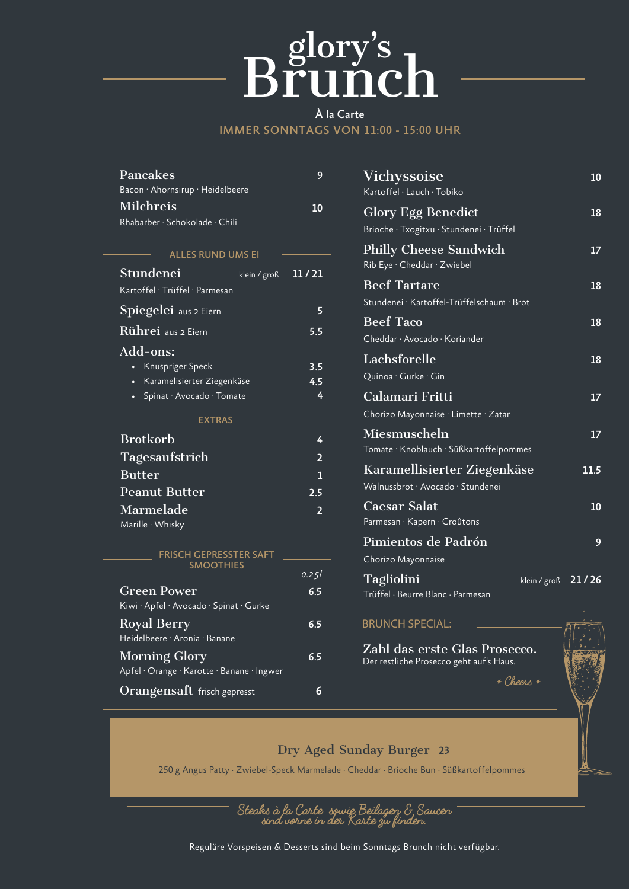# B<sup>glory's</sup>

# À la Carte IMMER SONNTAGS VON 11:00 - 15:00 UHR

| Pancakes                                | 9              |
|-----------------------------------------|----------------|
| Bacon · Ahornsirup · Heidelbeere        |                |
| <b>Milchreis</b>                        | 10             |
| Rhabarber · Schokolade · Chili          |                |
|                                         |                |
| <b>ALLES RUND UMS EI</b>                |                |
| Stundenei<br>klein / groß               | 11/21          |
| Kartoffel · Trüffel · Parmesan          |                |
| Spiegelei aus 2 Eiern                   | 5              |
| Rührei aus 2 Eiern                      | 5.5            |
| Add-ons:                                |                |
| Knuspriger Speck                        | 3.5            |
| Karamelisierter Ziegenkäse              | 4.5            |
| Spinat · Avocado · Tomate               | 4              |
|                                         |                |
|                                         |                |
| <b>EXTRAS</b>                           |                |
| <b>Brotkorb</b>                         | 4              |
| Tagesaufstrich                          | $\overline{2}$ |
| <b>Butter</b>                           | 1              |
| <b>Peanut Butter</b>                    | 2.5            |
| Marmelade                               | $\overline{2}$ |
| Marille · Whisky                        |                |
|                                         |                |
| FRISCH GEPRESSTER SAFT                  |                |
| <b>SMOOTHIES</b>                        | 0.251          |
| <b>Green Power</b>                      | 6.5            |
| Kiwi · Apfel · Avocado · Spinat · Gurke |                |
| <b>Royal Berry</b>                      | 6.5            |

Morning Glory 6.5

Orangensaft frisch gepresst 6

Apfel · Orange · Karotte · Banane · Ingwer

| 10                        |
|---------------------------|
| 18                        |
| 17                        |
| 18                        |
| 18                        |
| 18                        |
| 17                        |
| 17                        |
| 11.5                      |
| 10                        |
| 9                         |
| klein / $gr\circ$ ß 21/26 |
|                           |

### BRUNCH SPECIAL:

Zahl das erste Glas Prosecco. Der restliche Prosecco geht auf's Haus.

**\* Cheers \***

# Dry Aged Sunday Burger 23

250 g Angus Patty · Zwiebel-Speck Marmelade · Cheddar · Brioche Bun · Süßkartoffelpommes

**Steaks à la Carte sowie Beilagen & Saucen sind vorne in der Karte zu finden.**

Reguläre Vorspeisen & Desserts sind beim Sonntags Brunch nicht verfügbar.